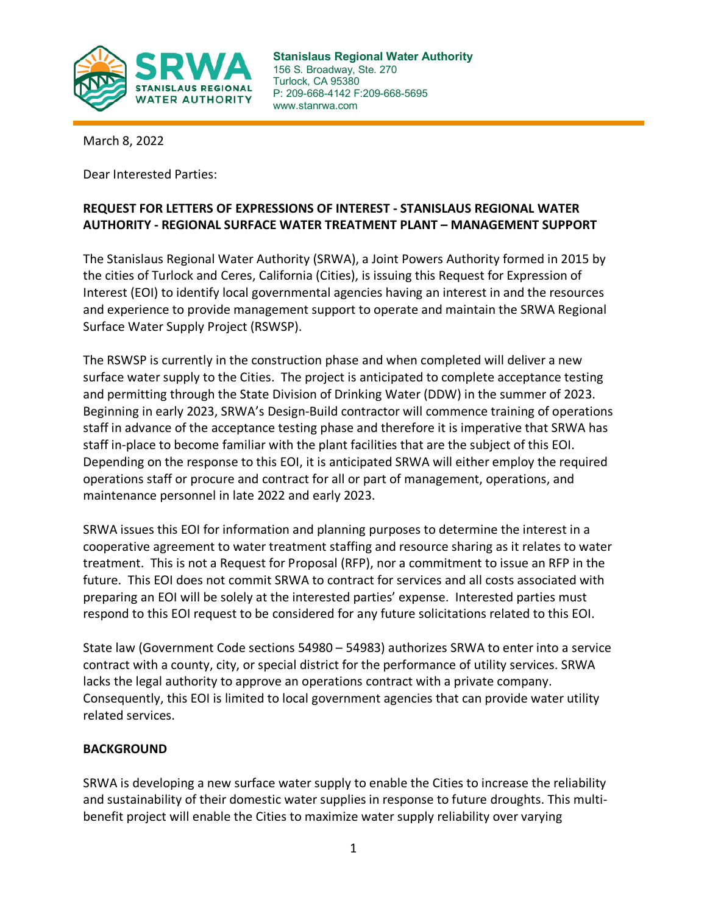

**Stanislaus Regional Water Authority** 156 S. Broadway, Ste. 270 Turlock, CA 95380 P: 209-668-4142 F:209-668-5695 www.stanrwa.com

March 8, 2022

Dear Interested Parties:

# **REQUEST FOR LETTERS OF EXPRESSIONS OF INTEREST - STANISLAUS REGIONAL WATER AUTHORITY - REGIONAL SURFACE WATER TREATMENT PLANT – MANAGEMENT SUPPORT**

The Stanislaus Regional Water Authority (SRWA), a Joint Powers Authority formed in 2015 by the cities of Turlock and Ceres, California (Cities), is issuing this Request for Expression of Interest (EOI) to identify local governmental agencies having an interest in and the resources and experience to provide management support to operate and maintain the SRWA Regional Surface Water Supply Project (RSWSP).

The RSWSP is currently in the construction phase and when completed will deliver a new surface water supply to the Cities. The project is anticipated to complete acceptance testing and permitting through the State Division of Drinking Water (DDW) in the summer of 2023. Beginning in early 2023, SRWA's Design-Build contractor will commence training of operations staff in advance of the acceptance testing phase and therefore it is imperative that SRWA has staff in-place to become familiar with the plant facilities that are the subject of this EOI. Depending on the response to this EOI, it is anticipated SRWA will either employ the required operations staff or procure and contract for all or part of management, operations, and maintenance personnel in late 2022 and early 2023.

SRWA issues this EOI for information and planning purposes to determine the interest in a cooperative agreement to water treatment staffing and resource sharing as it relates to water treatment. This is not a Request for Proposal (RFP), nor a commitment to issue an RFP in the future. This EOI does not commit SRWA to contract for services and all costs associated with preparing an EOI will be solely at the interested parties' expense. Interested parties must respond to this EOI request to be considered for any future solicitations related to this EOI.

State law (Government Code sections 54980 – 54983) authorizes SRWA to enter into a service contract with a county, city, or special district for the performance of utility services. SRWA lacks the legal authority to approve an operations contract with a private company. Consequently, this EOI is limited to local government agencies that can provide water utility related services.

### **BACKGROUND**

SRWA is developing a new surface water supply to enable the Cities to increase the reliability and sustainability of their domestic water supplies in response to future droughts. This multibenefit project will enable the Cities to maximize water supply reliability over varying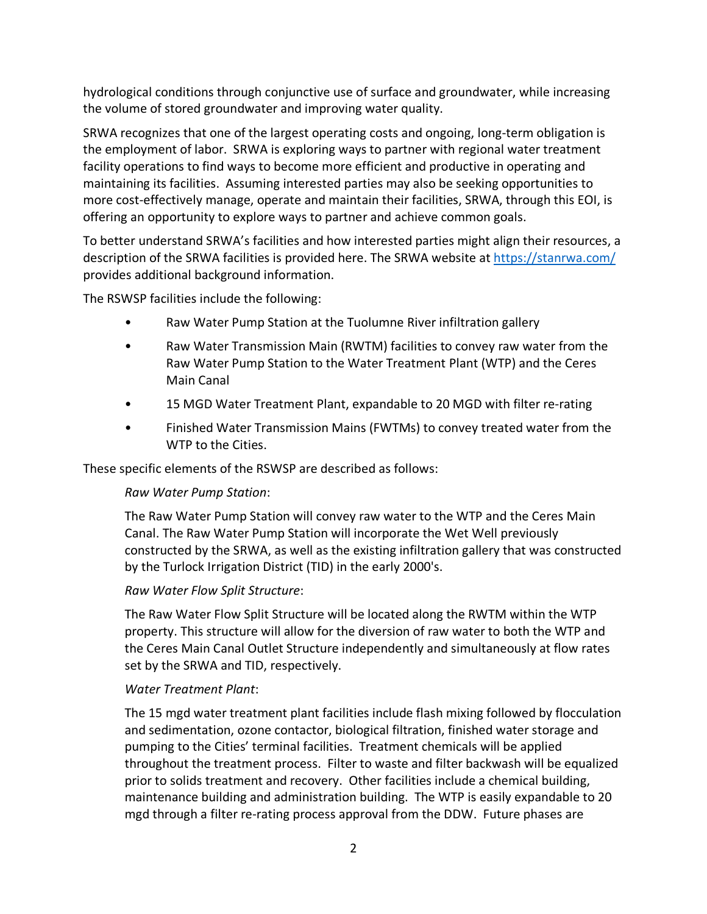hydrological conditions through conjunctive use of surface and groundwater, while increasing the volume of stored groundwater and improving water quality.

SRWA recognizes that one of the largest operating costs and ongoing, long-term obligation is the employment of labor. SRWA is exploring ways to partner with regional water treatment facility operations to find ways to become more efficient and productive in operating and maintaining its facilities. Assuming interested parties may also be seeking opportunities to more cost-effectively manage, operate and maintain their facilities, SRWA, through this EOI, is offering an opportunity to explore ways to partner and achieve common goals.

To better understand SRWA's facilities and how interested parties might align their resources, a description of the SRWA facilities is provided here. The SRWA website at<https://stanrwa.com/> provides additional background information.

The RSWSP facilities include the following:

- Raw Water Pump Station at the Tuolumne River infiltration gallery
- Raw Water Transmission Main (RWTM) facilities to convey raw water from the Raw Water Pump Station to the Water Treatment Plant (WTP) and the Ceres Main Canal
- 15 MGD Water Treatment Plant, expandable to 20 MGD with filter re-rating
- Finished Water Transmission Mains (FWTMs) to convey treated water from the WTP to the Cities.

These specific elements of the RSWSP are described as follows:

### *Raw Water Pump Station*:

The Raw Water Pump Station will convey raw water to the WTP and the Ceres Main Canal. The Raw Water Pump Station will incorporate the Wet Well previously constructed by the SRWA, as well as the existing infiltration gallery that was constructed by the Turlock Irrigation District (TID) in the early 2000's.

### *Raw Water Flow Split Structure*:

The Raw Water Flow Split Structure will be located along the RWTM within the WTP property. This structure will allow for the diversion of raw water to both the WTP and the Ceres Main Canal Outlet Structure independently and simultaneously at flow rates set by the SRWA and TID, respectively.

### *Water Treatment Plant*:

The 15 mgd water treatment plant facilities include flash mixing followed by flocculation and sedimentation, ozone contactor, biological filtration, finished water storage and pumping to the Cities' terminal facilities. Treatment chemicals will be applied throughout the treatment process. Filter to waste and filter backwash will be equalized prior to solids treatment and recovery. Other facilities include a chemical building, maintenance building and administration building. The WTP is easily expandable to 20 mgd through a filter re-rating process approval from the DDW. Future phases are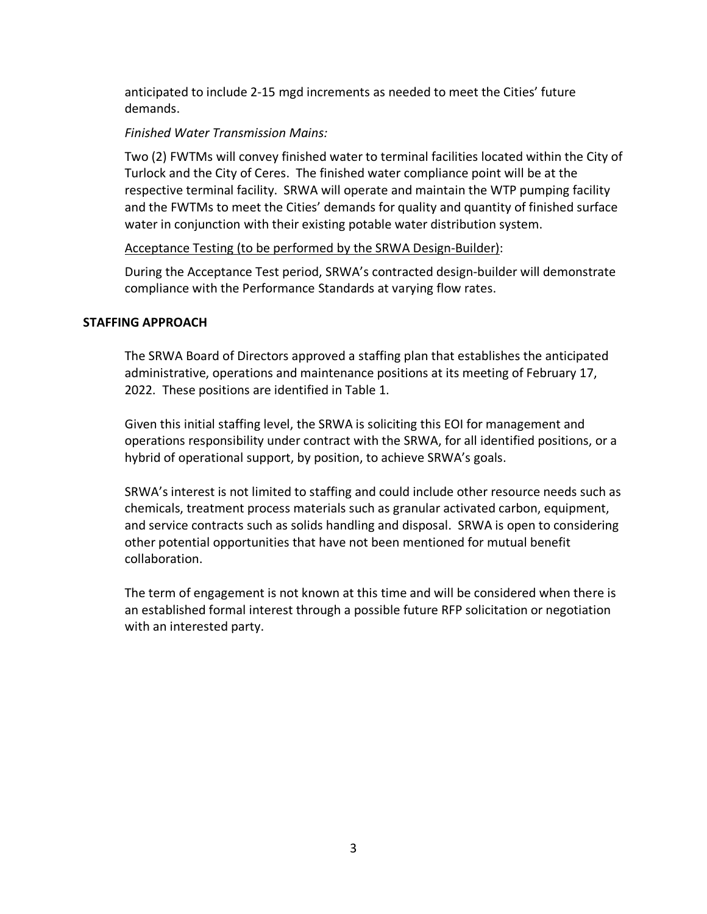anticipated to include 2-15 mgd increments as needed to meet the Cities' future demands.

# *Finished Water Transmission Mains:*

Two (2) FWTMs will convey finished water to terminal facilities located within the City of Turlock and the City of Ceres. The finished water compliance point will be at the respective terminal facility. SRWA will operate and maintain the WTP pumping facility and the FWTMs to meet the Cities' demands for quality and quantity of finished surface water in conjunction with their existing potable water distribution system.

## Acceptance Testing (to be performed by the SRWA Design-Builder):

During the Acceptance Test period, SRWA's contracted design-builder will demonstrate compliance with the Performance Standards at varying flow rates.

# **STAFFING APPROACH**

The SRWA Board of Directors approved a staffing plan that establishes the anticipated administrative, operations and maintenance positions at its meeting of February 17, 2022. These positions are identified in Table 1.

Given this initial staffing level, the SRWA is soliciting this EOI for management and operations responsibility under contract with the SRWA, for all identified positions, or a hybrid of operational support, by position, to achieve SRWA's goals.

SRWA's interest is not limited to staffing and could include other resource needs such as chemicals, treatment process materials such as granular activated carbon, equipment, and service contracts such as solids handling and disposal. SRWA is open to considering other potential opportunities that have not been mentioned for mutual benefit collaboration.

The term of engagement is not known at this time and will be considered when there is an established formal interest through a possible future RFP solicitation or negotiation with an interested party.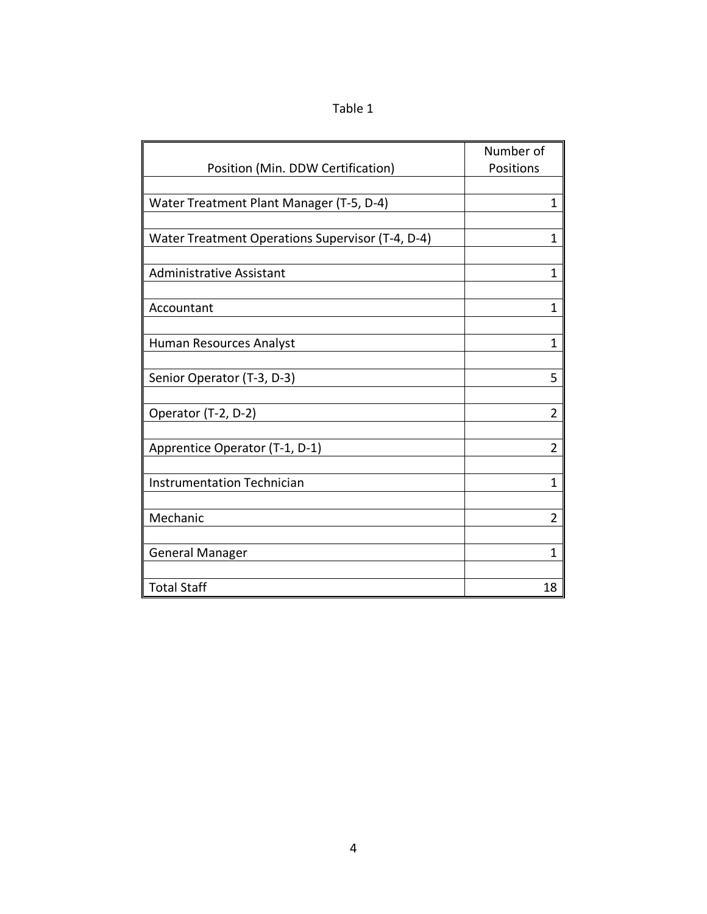| abl |  |
|-----|--|
|-----|--|

|                                                  | Number of      |
|--------------------------------------------------|----------------|
| Position (Min. DDW Certification)                | Positions      |
|                                                  |                |
| Water Treatment Plant Manager (T-5, D-4)         | $\overline{1}$ |
|                                                  |                |
| Water Treatment Operations Supervisor (T-4, D-4) | $\overline{1}$ |
|                                                  |                |
| <b>Administrative Assistant</b>                  | $\mathbf{1}$   |
|                                                  |                |
| Accountant                                       | $\mathbf{1}$   |
|                                                  |                |
| Human Resources Analyst                          | $\mathbf{1}$   |
|                                                  |                |
| Senior Operator (T-3, D-3)                       | 5              |
|                                                  |                |
| Operator (T-2, D-2)                              | $\overline{2}$ |
|                                                  |                |
| Apprentice Operator (T-1, D-1)                   | $\overline{2}$ |
|                                                  |                |
| <b>Instrumentation Technician</b>                | $\mathbf{1}$   |
|                                                  |                |
| Mechanic                                         | $\overline{2}$ |
|                                                  |                |
| <b>General Manager</b>                           | $\mathbf{1}$   |
|                                                  |                |
| <b>Total Staff</b>                               | 18             |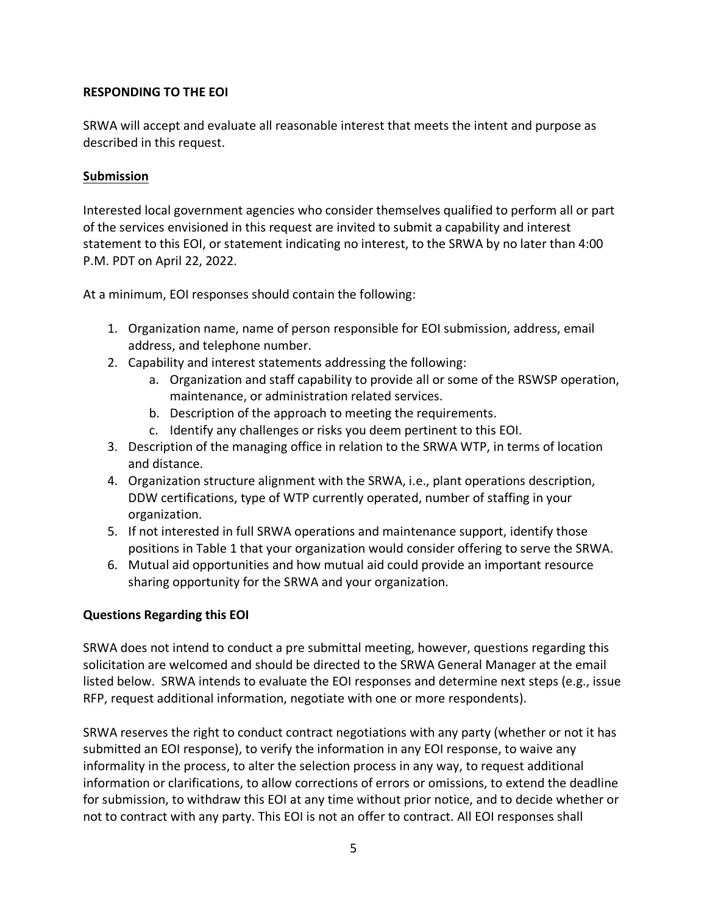# **RESPONDING TO THE EOI**

SRWA will accept and evaluate all reasonable interest that meets the intent and purpose as described in this request.

### **Submission**

Interested local government agencies who consider themselves qualified to perform all or part of the services envisioned in this request are invited to submit a capability and interest statement to this EOI, or statement indicating no interest, to the SRWA by no later than 4:00 P.M. PDT on April 22, 2022.

At a minimum, EOI responses should contain the following:

- 1. Organization name, name of person responsible for EOI submission, address, email address, and telephone number.
- 2. Capability and interest statements addressing the following:
	- a. Organization and staff capability to provide all or some of the RSWSP operation, maintenance, or administration related services.
	- b. Description of the approach to meeting the requirements.
	- c. Identify any challenges or risks you deem pertinent to this EOI.
- 3. Description of the managing office in relation to the SRWA WTP, in terms of location and distance.
- 4. Organization structure alignment with the SRWA, i.e., plant operations description, DDW certifications, type of WTP currently operated, number of staffing in your organization.
- 5. If not interested in full SRWA operations and maintenance support, identify those positions in Table 1 that your organization would consider offering to serve the SRWA.
- 6. Mutual aid opportunities and how mutual aid could provide an important resource sharing opportunity for the SRWA and your organization.

### **Questions Regarding this EOI**

SRWA does not intend to conduct a pre submittal meeting, however, questions regarding this solicitation are welcomed and should be directed to the SRWA General Manager at the email listed below. SRWA intends to evaluate the EOI responses and determine next steps (e.g., issue RFP, request additional information, negotiate with one or more respondents).

SRWA reserves the right to conduct contract negotiations with any party (whether or not it has submitted an EOI response), to verify the information in any EOI response, to waive any informality in the process, to alter the selection process in any way, to request additional information or clarifications, to allow corrections of errors or omissions, to extend the deadline for submission, to withdraw this EOI at any time without prior notice, and to decide whether or not to contract with any party. This EOI is not an offer to contract. All EOI responses shall